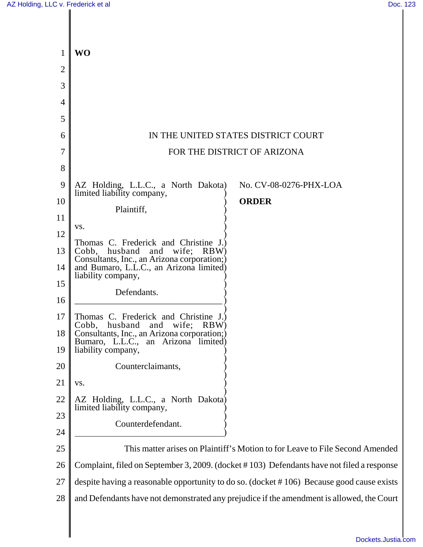| $\mathbf{1}$   | WO                                                                                        |
|----------------|-------------------------------------------------------------------------------------------|
| $\overline{2}$ |                                                                                           |
| 3              |                                                                                           |
| 4              |                                                                                           |
| 5              |                                                                                           |
| 6              | IN THE UNITED STATES DISTRICT COURT                                                       |
| 7              | FOR THE DISTRICT OF ARIZONA                                                               |
| 8              |                                                                                           |
| 9              | AZ Holding, L.L.C., a North Dakota)<br>No. CV-08-0276-PHX-LOA                             |
| 10             | limited liability company,<br><b>ORDER</b>                                                |
| 11             | Plaintiff,                                                                                |
| 12             | VS.                                                                                       |
| 13             | Thomas C. Frederick and Christine J.)<br>Cobb, husband and wife; RBW)                     |
| 14             | Consultants, Inc., an Arizona corporation;)<br>and Bumaro, L.L.C., an Arizona limited)    |
| 15             | liability company,                                                                        |
| 16             | Defendants.                                                                               |
| 17             | Thomas C. Frederick and Christine J.)                                                     |
| 18             | husband and wife; RBW)<br>Cobb,<br>Consultants, Inc., an Arizona corporation;)            |
| 19             | Bumaro, L.L.C., an Arizona limited)<br>liability company,                                 |
| 20             | Counterclaimants,                                                                         |
| 21             | VS.                                                                                       |
| 22             | AZ Holding, L.L.C., a North Dakota)                                                       |
| 23             | limited liability company,                                                                |
| 24             | Counterdefendant.                                                                         |
| 25             | This matter arises on Plaintiff's Motion to for Leave to File Second Amended              |
| 26             | Complaint, filed on September 3, 2009. (docket #103) Defendants have not filed a response |
| 27             | despite having a reasonable opportunity to do so. (docket #106) Because good cause exists |
| 28             | and Defendants have not demonstrated any prejudice if the amendment is allowed, the Court |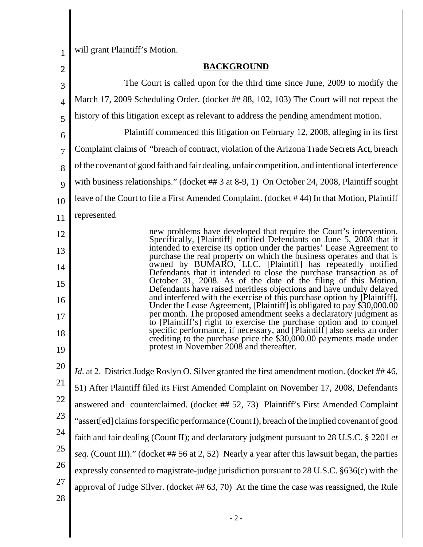1 will grant Plaintiff's Motion.

| $\overline{2}$ | <b>BACKGROUND</b>                                                                                                                                  |
|----------------|----------------------------------------------------------------------------------------------------------------------------------------------------|
| 3              | The Court is called upon for the third time since June, 2009 to modify the                                                                         |
| $\overline{4}$ | March 17, 2009 Scheduling Order. (docket ## 88, 102, 103) The Court will not repeat the                                                            |
| 5              | history of this litigation except as relevant to address the pending amendment motion.                                                             |
| 6              | Plaintiff commenced this litigation on February 12, 2008, alleging in its first                                                                    |
| 7              | Complaint claims of "breach of contract, violation of the Arizona Trade Secrets Act, breach                                                        |
| 8              | of the covenant of good faith and fair dealing, unfair competition, and intentional interference                                                   |
| 9              | with business relationships." (docket ## 3 at 8-9, 1) On October 24, 2008, Plaintiff sought                                                        |
| 10             | leave of the Court to file a First Amended Complaint. (docket #44) In that Motion, Plaintiff                                                       |
| 11             | represented                                                                                                                                        |
| 12             | new problems have developed that require the Court's intervention.<br>Specifically, [Plaintiff] notified Defendants on June 5, 2008 that it        |
| 13             | intended to exercise its option under the parties' Lease Agreement to<br>purchase the real property on which the business operates and that is     |
| 14             | owned by BUMARO, LLC. [Plaintiff] has repeatedly notified<br>Defendants that it intended to close the purchase transaction as of                   |
| 15             | October 31, 2008. As of the date of the filing of this Motion,<br>Defendants have raised meritless objections and have unduly delayed              |
| 16             | and interfered with the exercise of this purchase option by [Plaintiff].<br>Under the Lease Agreement, [Plaintiff] is obligated to pay \$30,000.00 |
| 17             | per month. The proposed amendment seeks a declaratory judgment as<br>to [Plaintiff's] right to exercise the purchase option and to compel          |
| 18             | specific performance, if necessary, and [Plaintiff] also seeks an order<br>crediting to the purchase price the \$30,000.00 payments made under     |
| 19             | protest in November 2008 and thereafter.                                                                                                           |
| 20             | <i>Id.</i> at 2. District Judge Roslyn O. Silver granted the first amendment motion. (docket ##46,                                                 |
| 21             | 51) After Plaintiff filed its First Amended Complaint on November 17, 2008, Defendants                                                             |
| 22             | answered and counterclaimed. (docket ## 52, 73) Plaintiff's First Amended Complaint                                                                |
| 23             | "assert[ed] claims for specific performance (Count I), breach of the implied covenant of good                                                      |
| 24             | faith and fair dealing (Count II); and declaratory judgment pursuant to 28 U.S.C. § 2201 et                                                        |
| 25             | seq. (Count III)." (docket ## 56 at 2, 52) Nearly a year after this lawsuit began, the parties                                                     |
| 26             | expressly consented to magistrate-judge jurisdiction pursuant to 28 U.S.C. §636(c) with the                                                        |
| 27             | approval of Judge Silver. (docket ## 63, 70) At the time the case was reassigned, the Rule                                                         |
| 28             |                                                                                                                                                    |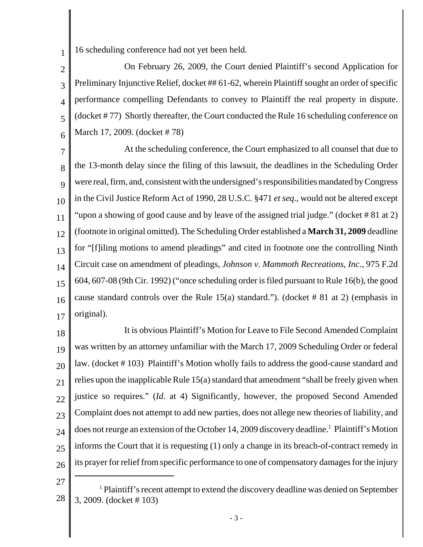16 scheduling conference had not yet been held.

2 3 4 5 6 On February 26, 2009, the Court denied Plaintiff's second Application for Preliminary Injunctive Relief, docket ## 61-62, wherein Plaintiff sought an order of specific performance compelling Defendants to convey to Plaintiff the real property in dispute. (docket # 77) Shortly thereafter, the Court conducted the Rule 16 scheduling conference on March 17, 2009. (docket # 78)

7 8  $\overline{Q}$ 10 11 12 13 14 15 16 17 At the scheduling conference, the Court emphasized to all counsel that due to the 13-month delay since the filing of this lawsuit, the deadlines in the Scheduling Order were real, firm, and, consistent with the undersigned's responsibilities mandated by Congress in the Civil Justice Reform Act of 1990, 28 U.S.C. §471 *et seq*., would not be altered except "upon a showing of good cause and by leave of the assigned trial judge." (docket # 81 at 2) (footnote in original omitted). The Scheduling Order established a **March 31, 2009** deadline for "[f]iling motions to amend pleadings" and cited in footnote one the controlling Ninth Circuit case on amendment of pleadings, *Johnson v. Mammoth Recreations, Inc*., 975 F.2d 604, 607-08 (9th Cir. 1992) ("once scheduling order is filed pursuant to Rule 16(b), the good cause standard controls over the Rule 15(a) standard."). (docket #81 at 2) (emphasis in original).

18 19 20 21 22 23 24 25 26 It is obvious Plaintiff's Motion for Leave to File Second Amended Complaint was written by an attorney unfamiliar with the March 17, 2009 Scheduling Order or federal law. (docket # 103) Plaintiff's Motion wholly fails to address the good-cause standard and relies upon the inapplicable Rule 15(a) standard that amendment "shall be freely given when justice so requires." (*Id*. at 4) Significantly, however, the proposed Second Amended Complaint does not attempt to add new parties, does not allege new theories of liability, and does not reurge an extension of the October 14, 2009 discovery deadline.<sup>1</sup> Plaintiff's Motion informs the Court that it is requesting (1) only a change in its breach-of-contract remedy in its prayer for relief from specific performance to one of compensatory damages for the injury

27

1

<sup>28</sup> <sup>1</sup> Plaintiff's recent attempt to extend the discovery deadline was denied on September 3, 2009. (docket # 103)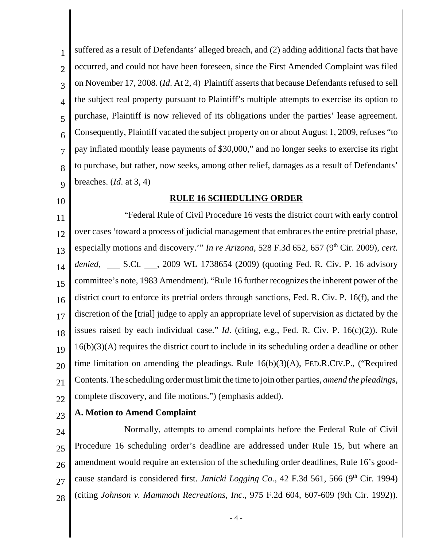1 2 3 4 5 6 7 8 9 suffered as a result of Defendants' alleged breach, and (2) adding additional facts that have occurred, and could not have been foreseen, since the First Amended Complaint was filed on November 17, 2008. (*Id*. At 2, 4) Plaintiff asserts that because Defendants refused to sell the subject real property pursuant to Plaintiff's multiple attempts to exercise its option to purchase, Plaintiff is now relieved of its obligations under the parties' lease agreement. Consequently, Plaintiff vacated the subject property on or about August 1, 2009, refuses "to pay inflated monthly lease payments of \$30,000," and no longer seeks to exercise its right to purchase, but rather, now seeks, among other relief, damages as a result of Defendants' breaches. (*Id*. at 3, 4)

10

## **RULE 16 SCHEDULING ORDER**

11 12 13 14 15 16 17 18 19 20 21 22 "Federal Rule of Civil Procedure 16 vests the district court with early control over cases 'toward a process of judicial management that embraces the entire pretrial phase, especially motions and discovery." *In re Arizona*, 528 F.3d 652, 657 (9<sup>th</sup> Cir. 2009), *cert. denied*, \_\_\_\_\_ S.Ct. \_\_\_\_, 2009 WL 1738654 (2009) (quoting Fed. R. Civ. P. 16 advisory committee's note, 1983 Amendment). "Rule 16 further recognizes the inherent power of the district court to enforce its pretrial orders through sanctions, Fed. R. Civ. P. 16(f), and the discretion of the [trial] judge to apply an appropriate level of supervision as dictated by the issues raised by each individual case." *Id*. (citing, e.g., Fed. R. Civ. P. 16(c)(2)). Rule 16(b)(3)(A) requires the district court to include in its scheduling order a deadline or other time limitation on amending the pleadings. Rule 16(b)(3)(A), FED.R.CIV.P., ("Required Contents. The scheduling order must limit the time to join other parties, *amend the pleadings*, complete discovery, and file motions.") (emphasis added).

23

## **A. Motion to Amend Complaint**

24 25 26 27 28 Normally, attempts to amend complaints before the Federal Rule of Civil Procedure 16 scheduling order's deadline are addressed under Rule 15, but where an amendment would require an extension of the scheduling order deadlines, Rule 16's goodcause standard is considered first. *Janicki Logging Co.*, 42 F.3d 561, 566 (9<sup>th</sup> Cir. 1994) (citing *Johnson v. Mammoth Recreations, Inc*., 975 F.2d 604, 607-609 (9th Cir. 1992)).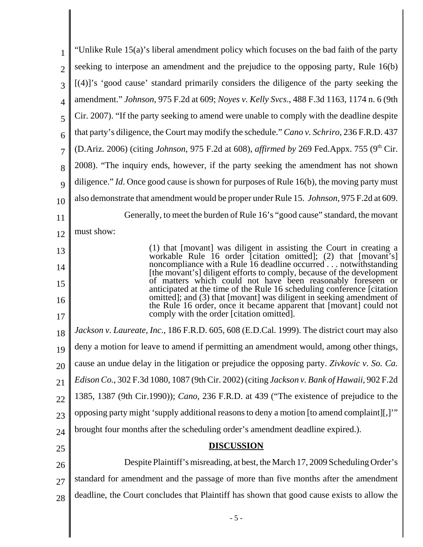| 1              | "Unlike Rule 15(a)'s liberal amendment policy which focuses on the bad faith of the party                                                                                                                       |
|----------------|-----------------------------------------------------------------------------------------------------------------------------------------------------------------------------------------------------------------|
| $\overline{2}$ | seeking to interpose an amendment and the prejudice to the opposing party, Rule 16(b)                                                                                                                           |
| 3              | [(4)]'s 'good cause' standard primarily considers the diligence of the party seeking the                                                                                                                        |
| $\overline{4}$ | amendment." Johnson, 975 F.2d at 609; Noyes v. Kelly Svcs., 488 F.3d 1163, 1174 n. 6 (9th                                                                                                                       |
| 5              | Cir. 2007). "If the party seeking to amend were unable to comply with the deadline despite                                                                                                                      |
| 6              | that party's diligence, the Court may modify the schedule." Cano v. Schriro, 236 F.R.D. 437                                                                                                                     |
| $\overline{7}$ | (D.Ariz. 2006) (citing Johnson, 975 F.2d at 608), affirmed by 269 Fed.Appx. 755 (9th Cir.                                                                                                                       |
| 8              | 2008). "The inquiry ends, however, if the party seeking the amendment has not shown                                                                                                                             |
| 9              | diligence." Id. Once good cause is shown for purposes of Rule $16(b)$ , the moving party must                                                                                                                   |
| 10             | also demonstrate that amendment would be proper under Rule 15. <i>Johnson</i> , 975 F.2d at 609.                                                                                                                |
| 11             | Generally, to meet the burden of Rule 16's "good cause" standard, the movant                                                                                                                                    |
| 12             | must show:                                                                                                                                                                                                      |
| 13             | (1) that [movant] was diligent in assisting the Court in creating a<br>workable Rule 16 order [citation omitted]; (2) that [movant's]                                                                           |
| 14             | noncompliance with a Rule 16 deadline occurred notwithstanding                                                                                                                                                  |
| 15             | [the movant's] diligent efforts to comply, because of the development<br>of matters which could not have been reasonably foreseen or<br>anticipated at the time of the Rule 16 scheduling conference [citation] |
| 16<br>17       | omitted]; and (3) that [movant] was diligent in seeking amendment of<br>the Rule 16 order, once it became apparent that [movant] could not<br>comply with the order [citation omitted].                         |
| 18             | Jackson v. Laureate, Inc., 186 F.R.D. 605, 608 (E.D.Cal. 1999). The district court may also                                                                                                                     |
| 19             | deny a motion for leave to amend if permitting an amendment would, among other things,                                                                                                                          |
| 20             | cause an undue delay in the litigation or prejudice the opposing party. Zivkovic v. So. Ca.                                                                                                                     |
| 21             | Edison Co., 302 F.3d 1080, 1087 (9th Cir. 2002) (citing Jackson v. Bank of Hawaii, 902 F.2d                                                                                                                     |
| 22             | 1385, 1387 (9th Cir.1990)); <i>Cano</i> , 236 F.R.D. at 439 ("The existence of prejudice to the                                                                                                                 |
| 23             | opposing party might 'supply additional reasons to deny a motion [to amend complaint][,]"                                                                                                                       |
| 24             | brought four months after the scheduling order's amendment deadline expired.).                                                                                                                                  |
| 25             | <b>DISCUSSION</b>                                                                                                                                                                                               |
| 26             | Despite Plaintiff's misreading, at best, the March 17, 2009 Scheduling Order's                                                                                                                                  |
| 27             | standard for amendment and the passage of more than five months after the amendment                                                                                                                             |
| 28             | deadline, the Court concludes that Plaintiff has shown that good cause exists to allow the                                                                                                                      |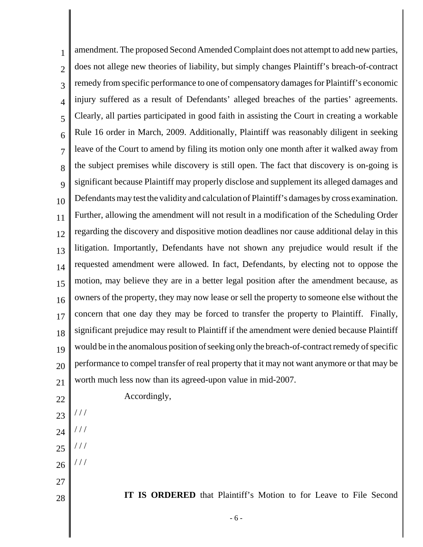1 2 3 4 5 6 7 8  $\overline{Q}$ 10 11 12 13 14 15 16 17 18 19 20 21 22 23 amendment. The proposed Second Amended Complaint does not attempt to add new parties, does not allege new theories of liability, but simply changes Plaintiff's breach-of-contract remedy from specific performance to one of compensatory damages for Plaintiff's economic injury suffered as a result of Defendants' alleged breaches of the parties' agreements. Clearly, all parties participated in good faith in assisting the Court in creating a workable Rule 16 order in March, 2009. Additionally, Plaintiff was reasonably diligent in seeking leave of the Court to amend by filing its motion only one month after it walked away from the subject premises while discovery is still open. The fact that discovery is on-going is significant because Plaintiff may properly disclose and supplement its alleged damages and Defendants may test the validity and calculation of Plaintiff's damages by cross examination. Further, allowing the amendment will not result in a modification of the Scheduling Order regarding the discovery and dispositive motion deadlines nor cause additional delay in this litigation. Importantly, Defendants have not shown any prejudice would result if the requested amendment were allowed. In fact, Defendants, by electing not to oppose the motion, may believe they are in a better legal position after the amendment because, as owners of the property, they may now lease or sell the property to someone else without the concern that one day they may be forced to transfer the property to Plaintiff. Finally, significant prejudice may result to Plaintiff if the amendment were denied because Plaintiff would be in the anomalous position of seeking only the breach-of-contract remedy of specific performance to compel transfer of real property that it may not want anymore or that may be worth much less now than its agreed-upon value in mid-2007. Accordingly, / / /

- 24 / / /
- 25 / / /
- 26

/ / /

27

28

**IT IS ORDERED** that Plaintiff's Motion to for Leave to File Second